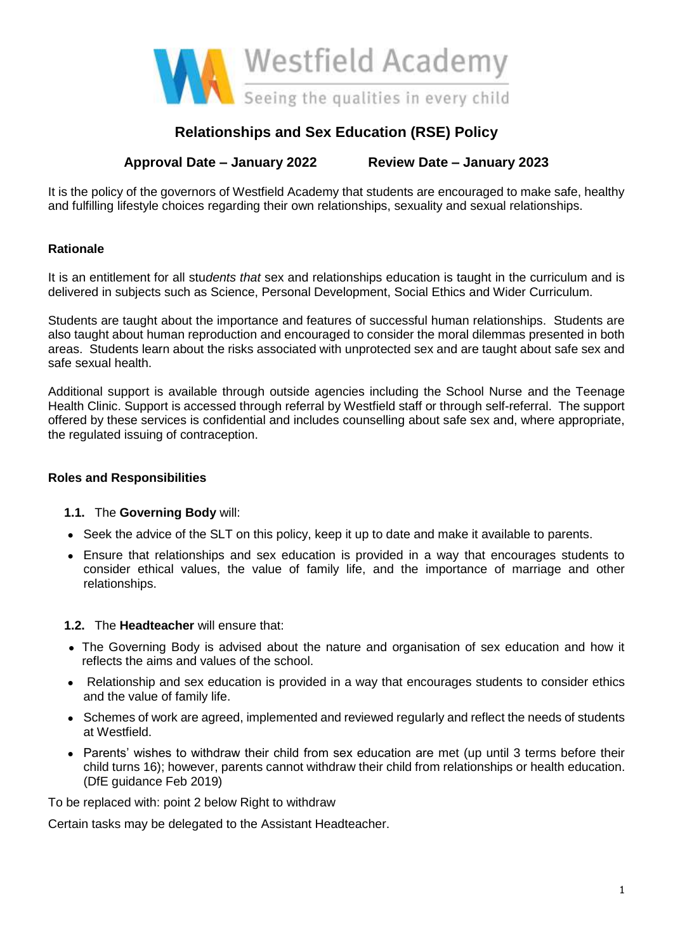

# **Relationships and Sex Education (RSE) Policy**

# **Approval Date – January 2022 Review Date – January 2023**

It is the policy of the governors of Westfield Academy that students are encouraged to make safe, healthy and fulfilling lifestyle choices regarding their own relationships, sexuality and sexual relationships.

# **Rationale**

It is an entitlement for all stu*dents that* sex and relationships education is taught in the curriculum and is delivered in subjects such as Science, Personal Development, Social Ethics and Wider Curriculum.

Students are taught about the importance and features of successful human relationships. Students are also taught about human reproduction and encouraged to consider the moral dilemmas presented in both areas. Students learn about the risks associated with unprotected sex and are taught about safe sex and safe sexual health.

Additional support is available through outside agencies including the School Nurse and the Teenage Health Clinic. Support is accessed through referral by Westfield staff or through self-referral. The support offered by these services is confidential and includes counselling about safe sex and, where appropriate, the regulated issuing of contraception.

# **Roles and Responsibilities**

#### **1.1.** The **Governing Body** will:

- Seek the advice of the SLT on this policy, keep it up to date and make it available to parents.
- Ensure that relationships and sex education is provided in a way that encourages students to consider ethical values, the value of family life, and the importance of marriage and other relationships.

# **1.2.** The **Headteacher** will ensure that:

- The Governing Body is advised about the nature and organisation of sex education and how it reflects the aims and values of the school.
- Relationship and sex education is provided in a way that encourages students to consider ethics and the value of family life.
- Schemes of work are agreed, implemented and reviewed regularly and reflect the needs of students at Westfield.
- Parents' wishes to withdraw their child from sex education are met (up until 3 terms before their child turns 16); however, parents cannot withdraw their child from relationships or health education. (DfE guidance Feb 2019)

To be replaced with: point 2 below Right to withdraw

Certain tasks may be delegated to the Assistant Headteacher.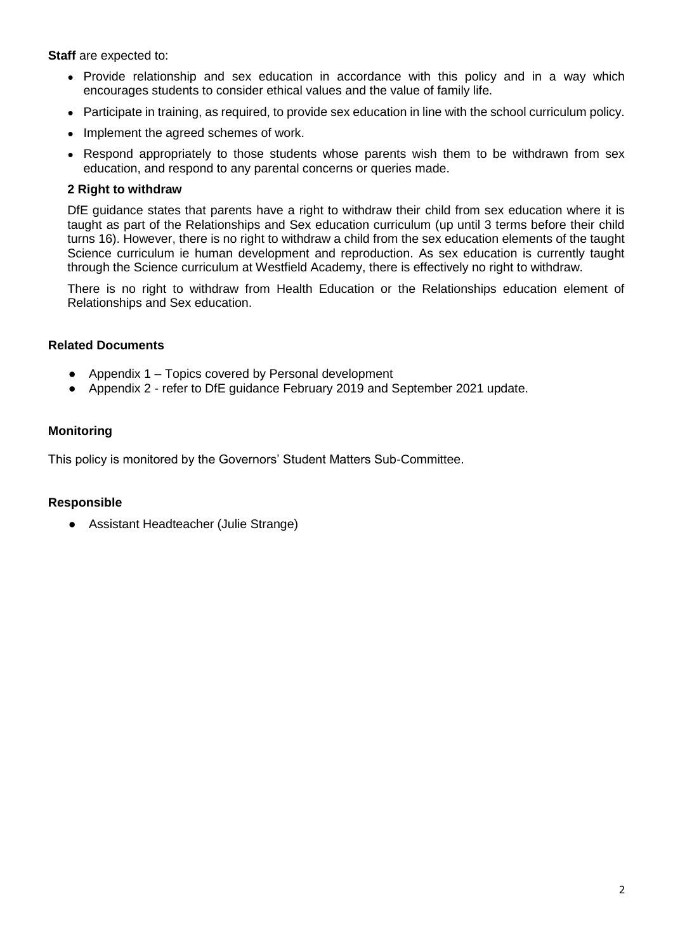**Staff** are expected to:

- Provide relationship and sex education in accordance with this policy and in a way which encourages students to consider ethical values and the value of family life.
- Participate in training, as required, to provide sex education in line with the school curriculum policy.
- Implement the agreed schemes of work.
- Respond appropriately to those students whose parents wish them to be withdrawn from sex education, and respond to any parental concerns or queries made.

#### **2 Right to withdraw**

DfE guidance states that parents have a right to withdraw their child from sex education where it is taught as part of the Relationships and Sex education curriculum (up until 3 terms before their child turns 16). However, there is no right to withdraw a child from the sex education elements of the taught Science curriculum ie human development and reproduction. As sex education is currently taught through the Science curriculum at Westfield Academy, there is effectively no right to withdraw.

There is no right to withdraw from Health Education or the Relationships education element of Relationships and Sex education.

#### **Related Documents**

- Appendix 1 Topics covered by Personal development
- Appendix 2 refer to DfE guidance February 2019 and September 2021 update.

#### **Monitoring**

This policy is monitored by the Governors' Student Matters Sub-Committee.

#### **Responsible**

● Assistant Headteacher (Julie Strange)